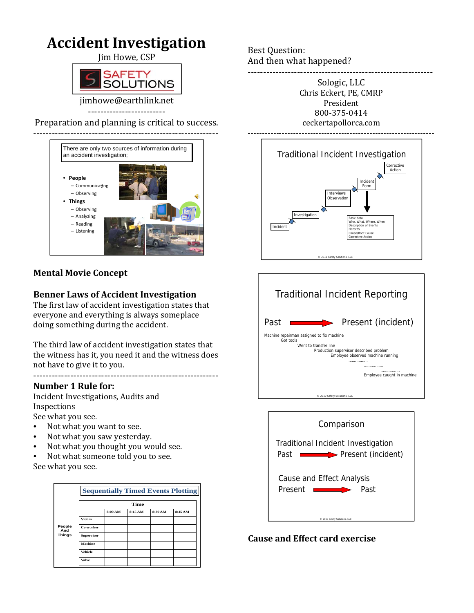

## **Mental Movie Concept**

### **Benner Laws of Accident Investigation**

The first law of accident investigation states that everyone and everything is always someplace doing something during the accident.

The third law of accident investigation states that the witness has it, you need it and the witness does not have to give it to you.

### ------------------------------------------------------------ **Number 1 Rule for:**

Incident Investigations, Audits and Inspections

See what you see.

- Not what you want to see.
- Not what you saw yesterday.
- Not what you thought you would see.

• Not what someone told you to see. See what you see.

|                                | <b>Sequentially Timed Events Plotting</b><br><b>Time</b> |         |        |         |         |
|--------------------------------|----------------------------------------------------------|---------|--------|---------|---------|
|                                |                                                          |         |        |         |         |
|                                |                                                          | 8:00 AM | 8:15AM | 8:30 AM | 8:45 AM |
|                                | Victim                                                   |         |        |         |         |
| People<br>And<br><b>Things</b> | Co-worker                                                |         |        |         |         |
|                                | <b>Supervisor</b>                                        |         |        |         |         |
|                                | Machine                                                  |         |        |         |         |
|                                | Vehicle                                                  |         |        |         |         |
|                                | Valve                                                    |         |        |         |         |

Best Question: And then what happened? ------------------------------------------------------------

> Sologic, LLC Chris Eckert, PE, CMRP President 800-375-0414 ceckertapollorca.com ------------------------------------------------------------------







### **Cause and Effect card exercise**